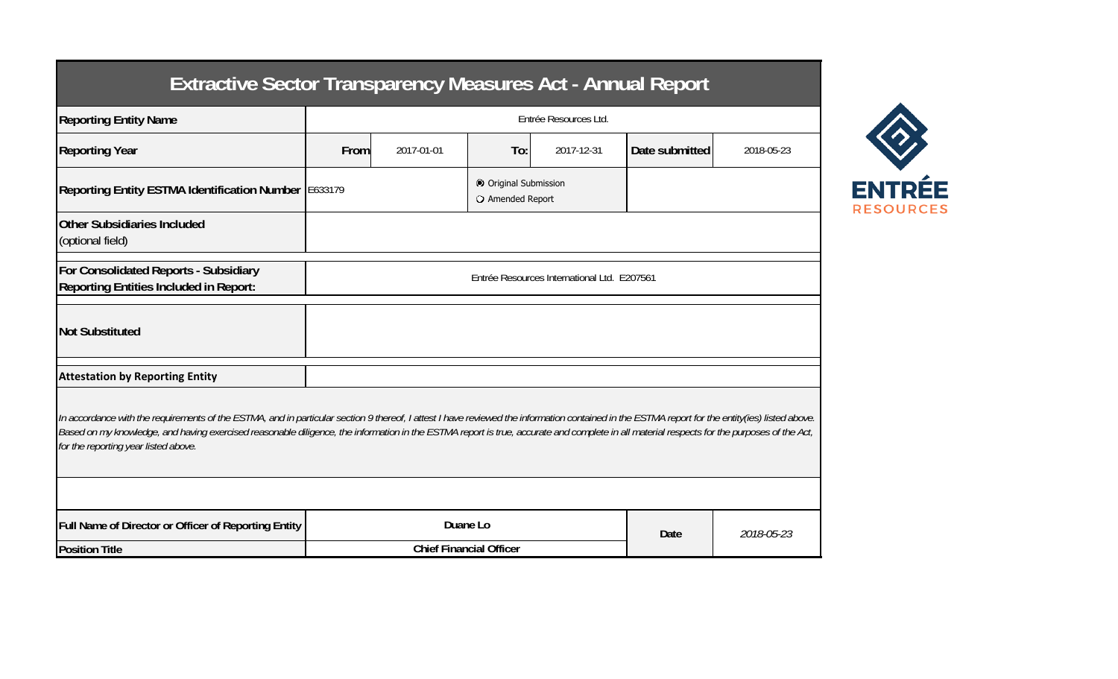## **Extractive Sector Transparency Measures Act - Annual Report**

| <b>Reporting Entity Name</b>                                                                                                                                                                                                                                                                                                                                                                                                          | Entrée Resources Ltd.                       |            |          |                                           |                |            |  |  |  |  |
|---------------------------------------------------------------------------------------------------------------------------------------------------------------------------------------------------------------------------------------------------------------------------------------------------------------------------------------------------------------------------------------------------------------------------------------|---------------------------------------------|------------|----------|-------------------------------------------|----------------|------------|--|--|--|--|
| <b>Reporting Year</b>                                                                                                                                                                                                                                                                                                                                                                                                                 | From                                        | 2017-01-01 | To:      | 2017-12-31                                | Date submitted | 2018-05-23 |  |  |  |  |
| Reporting Entity ESTMA Identification Number E633179                                                                                                                                                                                                                                                                                                                                                                                  |                                             |            |          | © Original Submission<br>O Amended Report |                |            |  |  |  |  |
| <b>Other Subsidiaries Included</b><br>(optional field)                                                                                                                                                                                                                                                                                                                                                                                |                                             |            |          |                                           |                |            |  |  |  |  |
| For Consolidated Reports - Subsidiary<br><b>Reporting Entities Included in Report:</b>                                                                                                                                                                                                                                                                                                                                                | Entrée Resources International Ltd. E207561 |            |          |                                           |                |            |  |  |  |  |
| <b>Not Substituted</b>                                                                                                                                                                                                                                                                                                                                                                                                                |                                             |            |          |                                           |                |            |  |  |  |  |
| <b>Attestation by Reporting Entity</b>                                                                                                                                                                                                                                                                                                                                                                                                |                                             |            |          |                                           |                |            |  |  |  |  |
| In accordance with the requirements of the ESTMA, and in particular section 9 thereof, I attest I have reviewed the information contained in the ESTMA report for the entity(ies) listed above.<br>Based on my knowledge, and having exercised reasonable diligence, the information in the ESTMA report is true, accurate and complete in all material respects for the purposes of the Act,<br>for the reporting year listed above. |                                             |            |          |                                           |                |            |  |  |  |  |
|                                                                                                                                                                                                                                                                                                                                                                                                                                       |                                             |            |          |                                           |                |            |  |  |  |  |
| Full Name of Director or Officer of Reporting Entity                                                                                                                                                                                                                                                                                                                                                                                  |                                             |            | Duane Lo |                                           | Date           | 2018-05-23 |  |  |  |  |
| <b>Position Title</b>                                                                                                                                                                                                                                                                                                                                                                                                                 | <b>Chief Financial Officer</b>              |            |          |                                           |                |            |  |  |  |  |

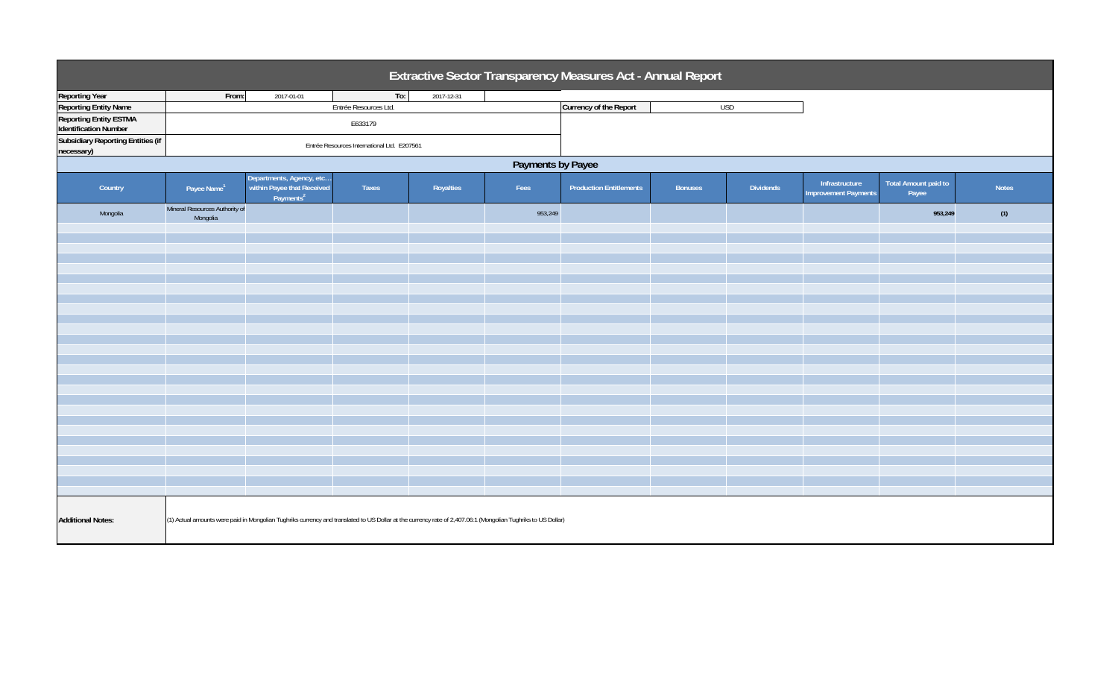| Extractive Sector Transparency Measures Act - Annual Report                                                                                                                              |                                             |                                                                                  |                       |            |         |                                |                |                  |                                               |                               |              |  |
|------------------------------------------------------------------------------------------------------------------------------------------------------------------------------------------|---------------------------------------------|----------------------------------------------------------------------------------|-----------------------|------------|---------|--------------------------------|----------------|------------------|-----------------------------------------------|-------------------------------|--------------|--|
| <b>Reporting Year</b>                                                                                                                                                                    | From:                                       | 2017-01-01                                                                       | To:                   | 2017-12-31 |         |                                |                |                  |                                               |                               |              |  |
| <b>Reporting Entity Name</b>                                                                                                                                                             |                                             |                                                                                  | Entrée Resources Ltd. |            |         | Currency of the Report         |                | <b>USD</b>       |                                               |                               |              |  |
| <b>Reporting Entity ESTMA</b>                                                                                                                                                            |                                             |                                                                                  |                       |            |         |                                |                |                  |                                               |                               |              |  |
| <b>Identification Number</b>                                                                                                                                                             |                                             |                                                                                  | E633179               |            |         |                                |                |                  |                                               |                               |              |  |
| <b>Subsidiary Reporting Entities (if</b><br>necessary)                                                                                                                                   | Entrée Resources International Ltd. E207561 |                                                                                  |                       |            |         |                                |                |                  |                                               |                               |              |  |
| Payments by Payee                                                                                                                                                                        |                                             |                                                                                  |                       |            |         |                                |                |                  |                                               |                               |              |  |
| Country                                                                                                                                                                                  | Payee Name <sup>1</sup>                     | Departments, Agency, etc.<br>within Payee that Received<br>Payments <sup>2</sup> | Taxes                 | Royalties  | Fees    | <b>Production Entitlements</b> | <b>Bonuses</b> | <b>Dividends</b> | Infrastructure<br><b>Improvement Payments</b> | Total Amount paid to<br>Payee | <b>Notes</b> |  |
| Mongolia                                                                                                                                                                                 | Mineral Resources Authority of<br>Mongolia  |                                                                                  |                       |            | 953,249 |                                |                |                  |                                               | 953,249                       | (1)          |  |
|                                                                                                                                                                                          |                                             |                                                                                  |                       |            |         |                                |                |                  |                                               |                               |              |  |
|                                                                                                                                                                                          |                                             |                                                                                  |                       |            |         |                                |                |                  |                                               |                               |              |  |
|                                                                                                                                                                                          |                                             |                                                                                  |                       |            |         |                                |                |                  |                                               |                               |              |  |
|                                                                                                                                                                                          |                                             |                                                                                  |                       |            |         |                                |                |                  |                                               |                               |              |  |
|                                                                                                                                                                                          |                                             |                                                                                  |                       |            |         |                                |                |                  |                                               |                               |              |  |
|                                                                                                                                                                                          |                                             |                                                                                  |                       |            |         |                                |                |                  |                                               |                               |              |  |
|                                                                                                                                                                                          |                                             |                                                                                  |                       |            |         |                                |                |                  |                                               |                               |              |  |
|                                                                                                                                                                                          |                                             |                                                                                  |                       |            |         |                                |                |                  |                                               |                               |              |  |
|                                                                                                                                                                                          |                                             |                                                                                  |                       |            |         |                                |                |                  |                                               |                               |              |  |
|                                                                                                                                                                                          |                                             |                                                                                  |                       |            |         |                                |                |                  |                                               |                               |              |  |
|                                                                                                                                                                                          |                                             |                                                                                  |                       |            |         |                                |                |                  |                                               |                               |              |  |
|                                                                                                                                                                                          |                                             |                                                                                  |                       |            |         |                                |                |                  |                                               |                               |              |  |
|                                                                                                                                                                                          |                                             |                                                                                  |                       |            |         |                                |                |                  |                                               |                               |              |  |
|                                                                                                                                                                                          |                                             |                                                                                  |                       |            |         |                                |                |                  |                                               |                               |              |  |
|                                                                                                                                                                                          |                                             |                                                                                  |                       |            |         |                                |                |                  |                                               |                               |              |  |
|                                                                                                                                                                                          |                                             |                                                                                  |                       |            |         |                                |                |                  |                                               |                               |              |  |
|                                                                                                                                                                                          |                                             |                                                                                  |                       |            |         |                                |                |                  |                                               |                               |              |  |
|                                                                                                                                                                                          |                                             |                                                                                  |                       |            |         |                                |                |                  |                                               |                               |              |  |
|                                                                                                                                                                                          |                                             |                                                                                  |                       |            |         |                                |                |                  |                                               |                               |              |  |
|                                                                                                                                                                                          |                                             |                                                                                  |                       |            |         |                                |                |                  |                                               |                               |              |  |
|                                                                                                                                                                                          |                                             |                                                                                  |                       |            |         |                                |                |                  |                                               |                               |              |  |
|                                                                                                                                                                                          |                                             |                                                                                  |                       |            |         |                                |                |                  |                                               |                               |              |  |
|                                                                                                                                                                                          |                                             |                                                                                  |                       |            |         |                                |                |                  |                                               |                               |              |  |
| <b>Additional Notes:</b><br>(1) Actual amounts were paid in Mongolian Tughriks currency and translated to US Dollar at the currency rate of 2,407.06:1 (Mongolian Tughriks to US Dollar) |                                             |                                                                                  |                       |            |         |                                |                |                  |                                               |                               |              |  |